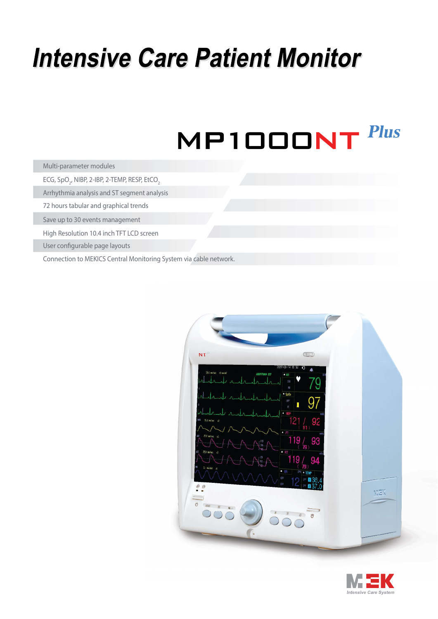## **Intensive Care Patient Monitor**

## **Plus** MP1000NT

| Multi-parameter modules |
|-------------------------|
|-------------------------|

ECG, SpO $_{\textrm{\tiny{2}}}$ , NIBP, 2-IBP, 2-TEMP, RESP, EtCO $_{\textrm{\tiny{2}}}$ 

Arrhythmia analysis and ST segment analysis

72 hours tabular and graphical trends

Save up to 30 events management

High Resolution 10.4 inch TFT LCD screen

User configurable page layouts

Connection to MEKICS Central Monitoring System via cable network.